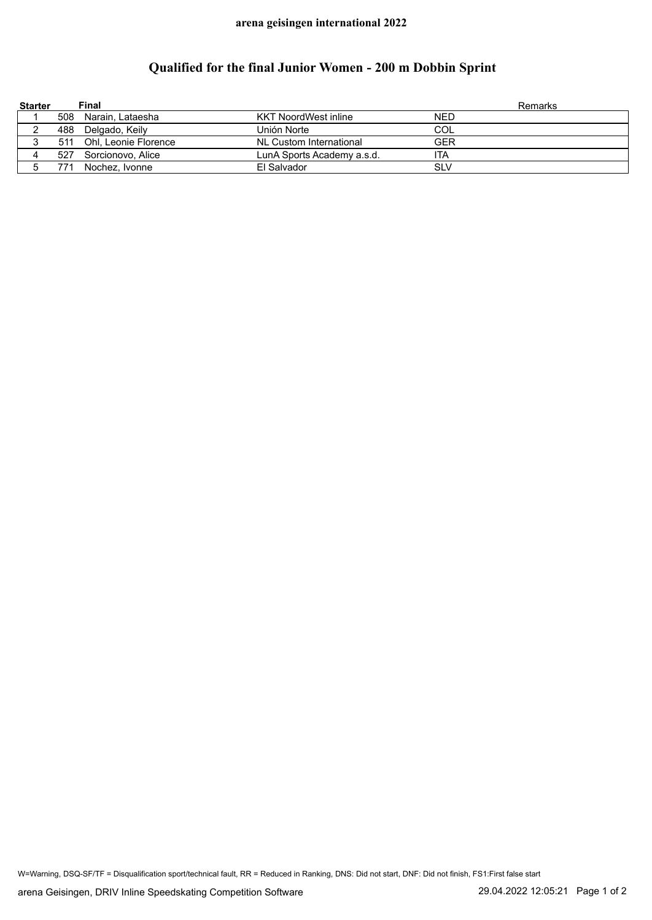## **arena geisingen international 2022**

## **Qualified for the final Junior Women - 200 m Dobbin Sprint**

| <b>Starter</b> |     | Final                    |                             |            | Remarks |
|----------------|-----|--------------------------|-----------------------------|------------|---------|
|                |     | 508 Narain, Lataesha     | <b>KKT NoordWest inline</b> | <b>NED</b> |         |
|                |     | 488 Delgado, Keily       | Unión Norte                 | COL        |         |
|                |     | 511 Ohl, Leonie Florence | NL Custom International     | GER        |         |
| 4              | 527 | Sorcionovo, Alice        | LunA Sports Academy a.s.d.  | ita        |         |
|                |     | Nochez, Ivonne           | El Salvador                 | <b>SLV</b> |         |

W=Warning, DSQ-SF/TF = Disqualification sport/technical fault, RR = Reduced in Ranking, DNS: Did not start, DNF: Did not finish, FS1:First false start